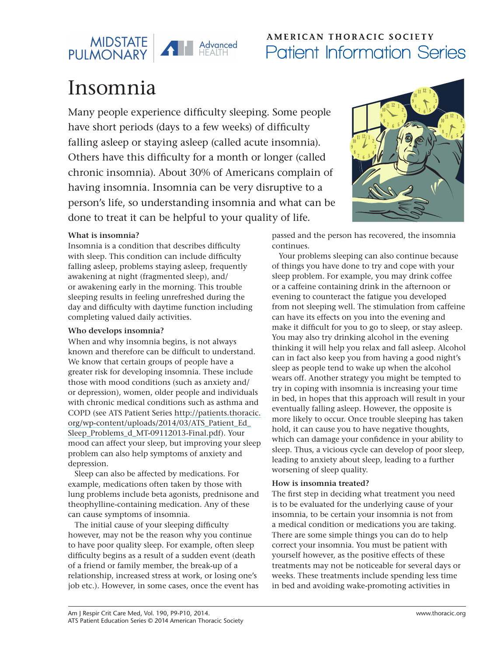

## AMERICAN THORACIC SOCIETY Patient Information Series

# Insomnia

Many people experience difficulty sleeping. Some people have short periods (days to a few weeks) of difficulty falling asleep or staying asleep (called acute insomnia). Others have this difficulty for a month or longer (called chronic insomnia). About 30% of Americans complain of having insomnia. Insomnia can be very disruptive to a person's life, so understanding insomnia and what can be done to treat it can be helpful to your quality of life.

### **What is insomnia?**

Insomnia is a condition that describes difficulty with sleep. This condition can include difficulty falling asleep, problems staying asleep, frequently awakening at night (fragmented sleep), and/ or awakening early in the morning. This trouble sleeping results in feeling unrefreshed during the day and difficulty with daytime function including completing valued daily activities.

### **Who develops insomnia?**

When and why insomnia begins, is not always known and therefore can be difficult to understand. We know that certain groups of people have a greater risk for developing insomnia. These include those with mood conditions (such as anxiety and/ or depression), women, older people and individuals with chronic medical conditions such as asthma and COPD (see ATS Patient Series [http://patients.thoracic.](http://patients.thoracic.org/wp-content/uploads/2014/03/ATS_Patient_Ed_Sleep_Problems_d_MT-09112013-Final.pdf) [org/wp-content/uploads/2014/03/ATS\\_Patient\\_Ed\\_](http://patients.thoracic.org/wp-content/uploads/2014/03/ATS_Patient_Ed_Sleep_Problems_d_MT-09112013-Final.pdf) [Sleep\\_Problems\\_d\\_MT-09112013-Final.pdf\)](http://patients.thoracic.org/wp-content/uploads/2014/03/ATS_Patient_Ed_Sleep_Problems_d_MT-09112013-Final.pdf). Your mood can affect your sleep, but improving your sleep problem can also help symptoms of anxiety and depression.

Sleep can also be affected by medications. For example, medications often taken by those with lung problems include beta agonists, prednisone and theophylline-containing medication. Any of these can cause symptoms of insomnia.

The initial cause of your sleeping difficulty however, may not be the reason why you continue to have poor quality sleep. For example, often sleep difficulty begins as a result of a sudden event (death of a friend or family member, the break-up of a relationship, increased stress at work, or losing one's job etc.). However, in some cases, once the event has



passed and the person has recovered, the insomnia continues.

Your problems sleeping can also continue because of things you have done to try and cope with your sleep problem. For example, you may drink coffee or a caffeine containing drink in the afternoon or evening to counteract the fatigue you developed from not sleeping well. The stimulation from caffeine can have its effects on you into the evening and make it difficult for you to go to sleep, or stay asleep. You may also try drinking alcohol in the evening thinking it will help you relax and fall asleep. Alcohol can in fact also keep you from having a good night's sleep as people tend to wake up when the alcohol wears off. Another strategy you might be tempted to try in coping with insomnia is increasing your time in bed, in hopes that this approach will result in your eventually falling asleep. However, the opposite is more likely to occur. Once trouble sleeping has taken hold, it can cause you to have negative thoughts, which can damage your confidence in your ability to sleep. Thus, a vicious cycle can develop of poor sleep, leading to anxiety about sleep, leading to a further worsening of sleep quality.

### **How is insomnia treated?**

The first step in deciding what treatment you need is to be evaluated for the underlying cause of your insomnia, to be certain your insomnia is not from a medical condition or medications you are taking. There are some simple things you can do to help correct your insomnia. You must be patient with yourself however, as the positive effects of these treatments may not be noticeable for several days or weeks. These treatments include spending less time in bed and avoiding wake-promoting activities in